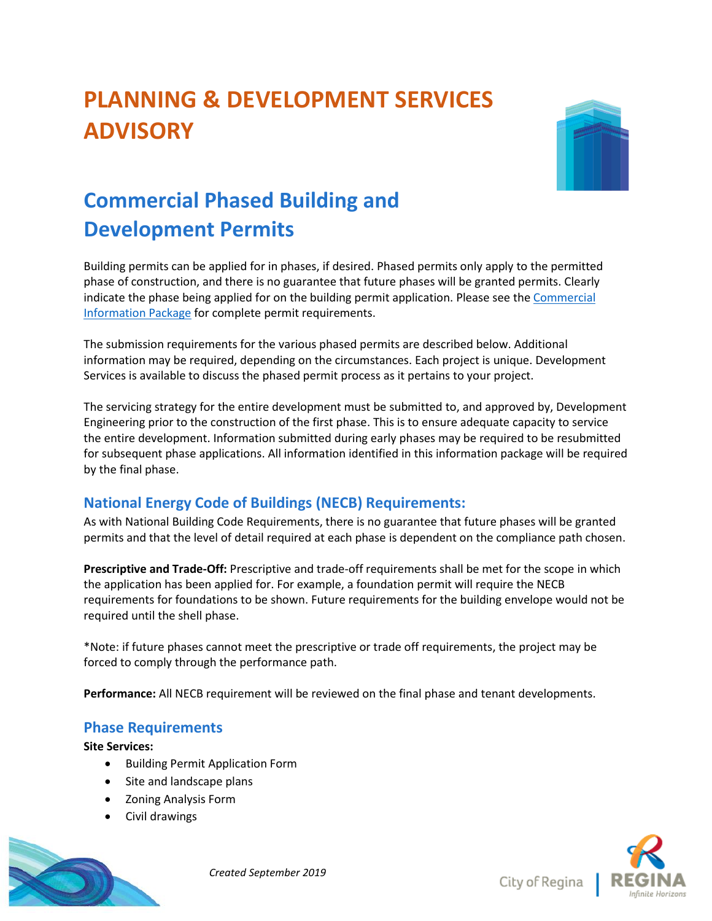# **PLANNING & DEVELOPMENT SERVICES ADVISORY**



## **Commercial Phased Building and Development Permits**

Building permits can be applied for in phases, if desired. Phased permits only apply to the permitted phase of construction, and there is no guarantee that future phases will be granted permits. Clearly indicate the phase being applied for on the building permit application. Please see th[e Commercial](https://www.regina.ca/export/sites/Regina.ca/bylaws-permits-licences/building-demolition/.galleries/pdfs/Commercial-Information-Package.pdf) [Information Package](https://www.regina.ca/export/sites/Regina.ca/bylaws-permits-licences/building-demolition/.galleries/pdfs/Commercial-Information-Package.pdf) for complete permit requirements.

The submission requirements for the various phased permits are described below. Additional information may be required, depending on the circumstances. Each project is unique. Development Services is available to discuss the phased permit process as it pertains to your project.

The servicing strategy for the entire development must be submitted to, and approved by, Development Engineering prior to the construction of the first phase. This is to ensure adequate capacity to service the entire development. Information submitted during early phases may be required to be resubmitted for subsequent phase applications. All information identified in this information package will be required by the final phase.

### **National Energy Code of Buildings (NECB) Requirements:**

As with National Building Code Requirements, there is no guarantee that future phases will be granted permits and that the level of detail required at each phase is dependent on the compliance path chosen.

**Prescriptive and Trade-Off:** Prescriptive and trade-off requirements shall be met for the scope in which the application has been applied for. For example, a foundation permit will require the NECB requirements for foundations to be shown. Future requirements for the building envelope would not be required until the shell phase.

\*Note: if future phases cannot meet the prescriptive or trade off requirements, the project may be forced to comply through the performance path.

**Performance:** All NECB requirement will be reviewed on the final phase and tenant developments.

### **Phase Requirements**

**Site Services:**

- Building Permit Application Form
- Site and landscape plans
- Zoning Analysis Form
- Civil drawings



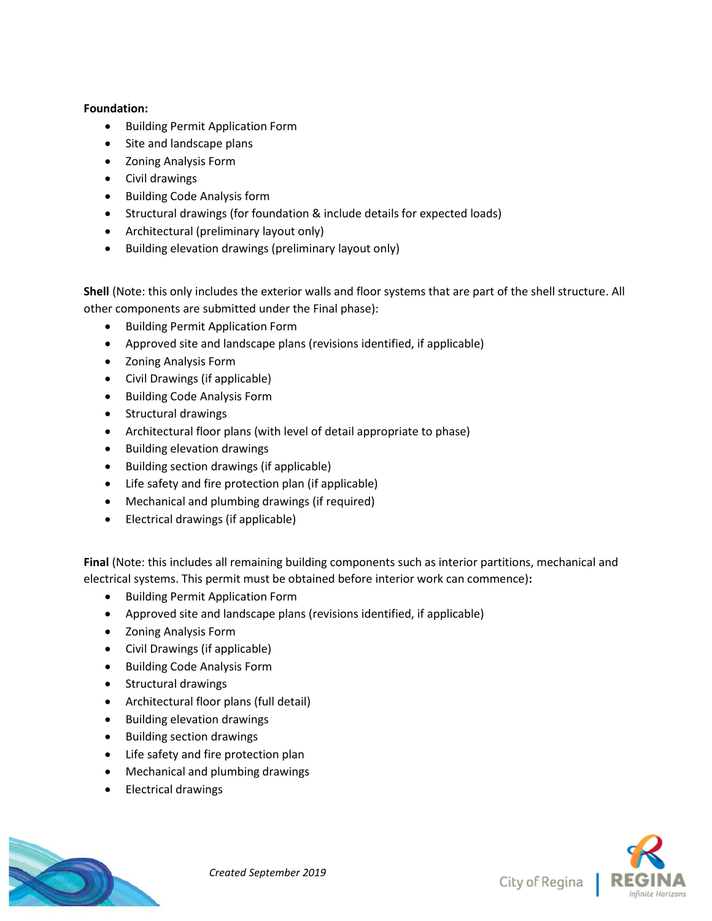#### **Foundation:**

- **•** Building Permit Application Form
- Site and landscape plans
- Zoning Analysis Form
- Civil drawings
- Building Code Analysis form
- Structural drawings (for foundation & include details for expected loads)
- Architectural (preliminary layout only)
- Building elevation drawings (preliminary layout only)

**Shell** (Note: this only includes the exterior walls and floor systems that are part of the shell structure. All other components are submitted under the Final phase):

- **•** Building Permit Application Form
- Approved site and landscape plans (revisions identified, if applicable)
- Zoning Analysis Form
- Civil Drawings (if applicable)
- Building Code Analysis Form
- Structural drawings
- Architectural floor plans (with level of detail appropriate to phase)
- Building elevation drawings
- Building section drawings (if applicable)
- Life safety and fire protection plan (if applicable)
- Mechanical and plumbing drawings (if required)
- Electrical drawings (if applicable)

**Final** (Note: this includes all remaining building components such as interior partitions, mechanical and electrical systems. This permit must be obtained before interior work can commence)**:** 

- **•** Building Permit Application Form
- Approved site and landscape plans (revisions identified, if applicable)
- Zoning Analysis Form
- Civil Drawings (if applicable)
- Building Code Analysis Form
- Structural drawings
- Architectural floor plans (full detail)
- Building elevation drawings
- Building section drawings
- Life safety and fire protection plan
- Mechanical and plumbing drawings
- Electrical drawings